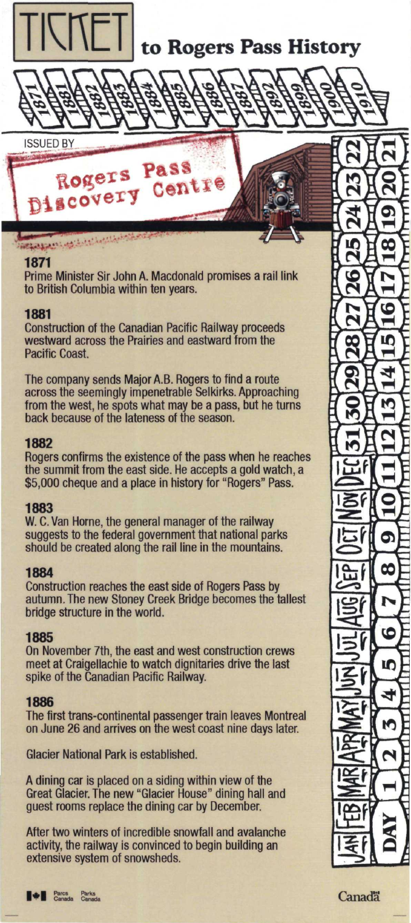

# to Rogers Pass History

**ISSUED BY** 

**ANTIQUE** Rogers Pass Discovery Centre

## 1871

فينتصفن فيختصب ويجهله

Prime Minister Sir John A. Macdonald promises a rail link to British Columbia within ten years.

## 1881

**Construction of the Canadian Pacific Railway proceeds** westward across the Prairies and eastward from the Pacific Coast

The company sends Major A.B. Rogers to find a route across the seemingly impenetrable Selkirks. Approaching from the west, he spots what may be a pass, but he turns back because of the lateness of the season.

## 1882

Rogers confirms the existence of the pass when he reaches the summit from the east side. He accepts a gold watch, a \$5,000 cheque and a place in history for "Rogers" Pass.

# 1883

W. C. Van Horne, the general manager of the railway suggests to the federal government that national parks should be created along the rail line in the mountains.

## 1884

Construction reaches the east side of Rogers Pass by autumn. The new Stoney Creek Bridge becomes the tallest bridge structure in the world.

# 1885

On November 7th, the east and west construction crews meet at Craigellachie to watch dignitaries drive the last spike of the Canadian Pacific Railway.

# 1886

The first trans-continental passenger train leaves Montreal on June 26 and arrives on the west coast nine days later.

**Glacier National Park is established.** 

A dining car is placed on a siding within view of the Great Glacier. The new "Glacier House" dining hall and<br>guest rooms replace the dining car by December.

After two winters of incredible snowfall and avalanche activity, the railway is convinced to begin building an extensive system of snowsheds.





Canadä